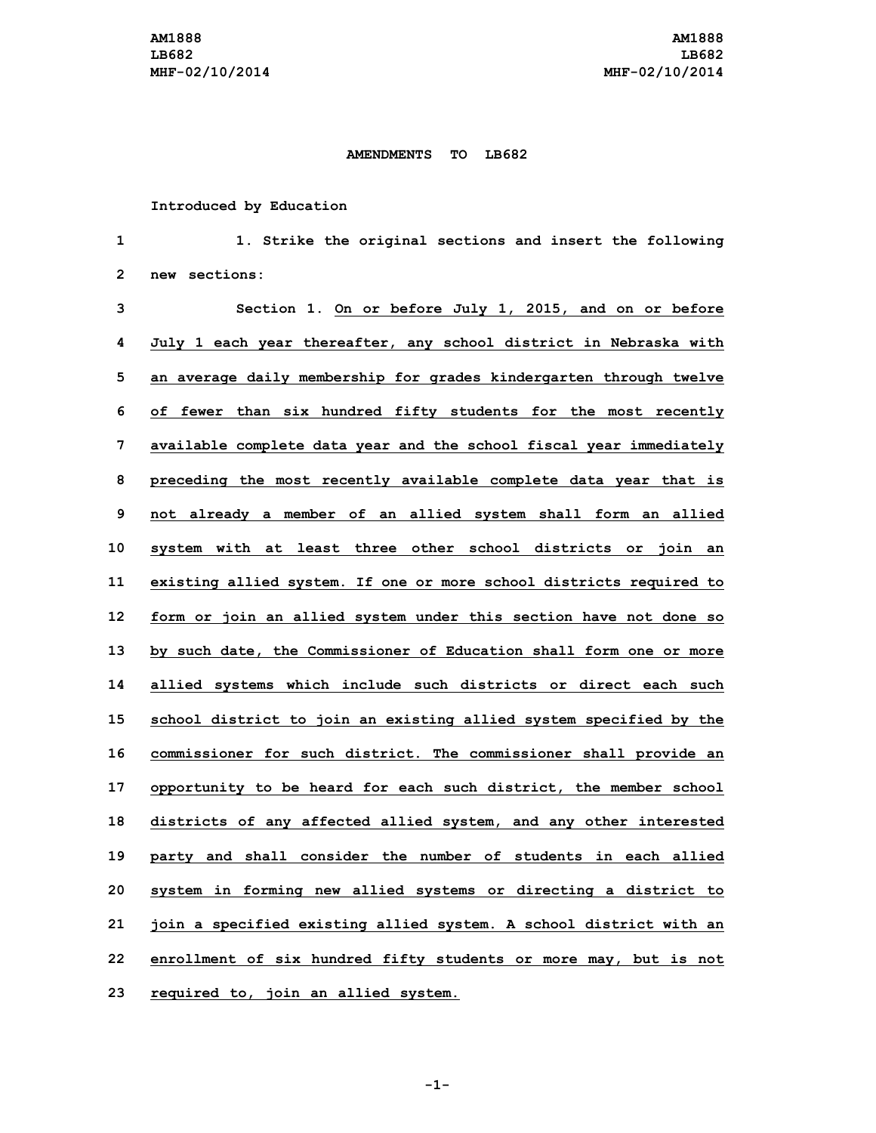## **AMENDMENTS TO LB682**

## **Introduced by Education**

 **1. Strike the original sections and insert the following new sections: Section 1. On or before July 1, 2015, and on or before July 1 each year thereafter, any school district in Nebraska with an average daily membership for grades kindergarten through twelve of fewer than six hundred fifty students for the most recently available complete data year and the school fiscal year immediately**

 **preceding the most recently available complete data year that is not already <sup>a</sup> member of an allied system shall form an allied system with at least three other school districts or join an existing allied system. If one or more school districts required to form or join an allied system under this section have not done so by such date, the Commissioner of Education shall form one or more allied systems which include such districts or direct each such school district to join an existing allied system specified by the commissioner for such district. The commissioner shall provide an opportunity to be heard for each such district, the member school districts of any affected allied system, and any other interested party and shall consider the number of students in each allied system in forming new allied systems or directing <sup>a</sup> district to join <sup>a</sup> specified existing allied system. <sup>A</sup> school district with an enrollment of six hundred fifty students or more may, but is not required to, join an allied system.**

**-1-**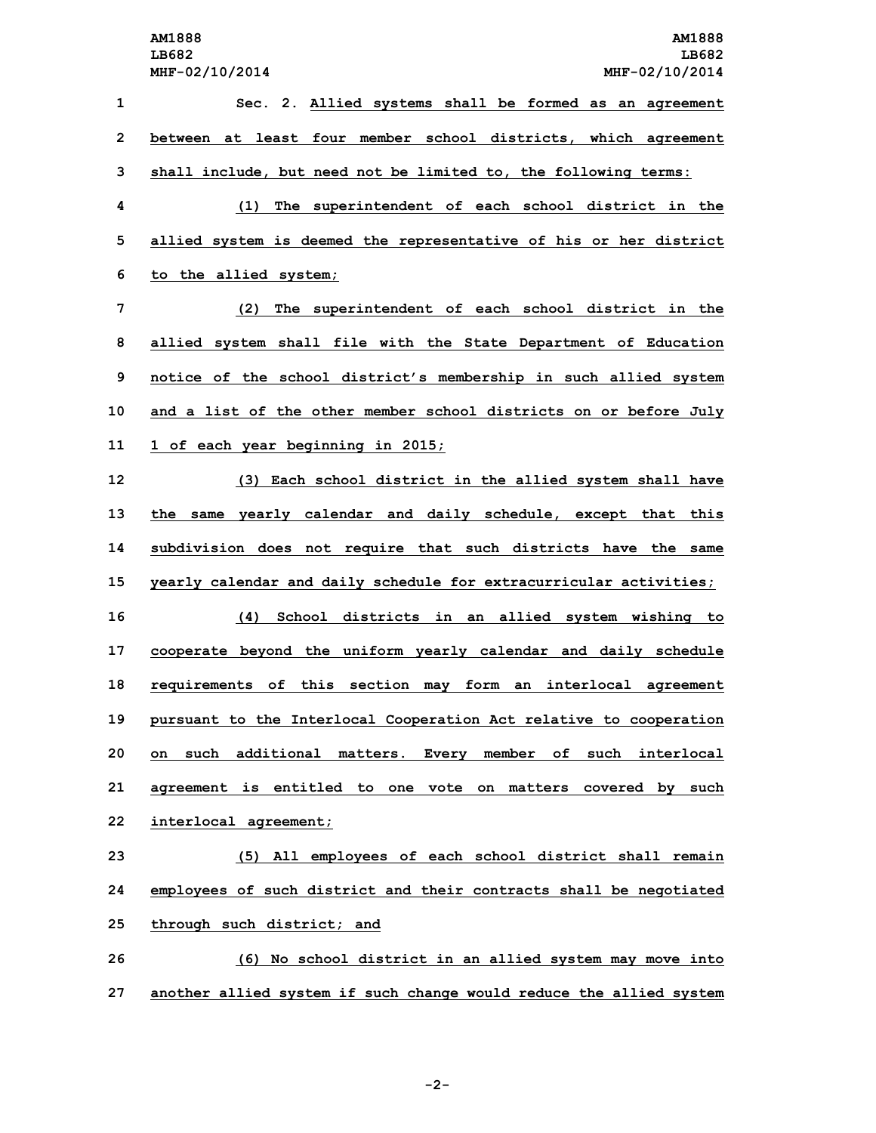**Sec. 2. Allied systems shall be formed as an agreement between at least four member school districts, which agreement shall include, but need not be limited to, the following terms: (1) The superintendent of each school district in the allied system is deemed the representative of his or her district to the allied system; (2) The superintendent of each school district in the allied system shall file with the State Department of Education notice of the school district's membership in such allied system and <sup>a</sup> list of the other member school districts on or before July 1 of each year beginning in 2015; (3) Each school district in the allied system shall have the same yearly calendar and daily schedule, except that this subdivision does not require that such districts have the same yearly calendar and daily schedule for extracurricular activities; (4) School districts in an allied system wishing to cooperate beyond the uniform yearly calendar and daily schedule requirements of this section may form an interlocal agreement pursuant to the Interlocal Cooperation Act relative to cooperation on such additional matters. Every member of such interlocal agreement is entitled to one vote on matters covered by such interlocal agreement; (5) All employees of each school district shall remain employees of such district and their contracts shall be negotiated through such district; and (6) No school district in an allied system may move into**

**27 another allied system if such change would reduce the allied system**

**-2-**